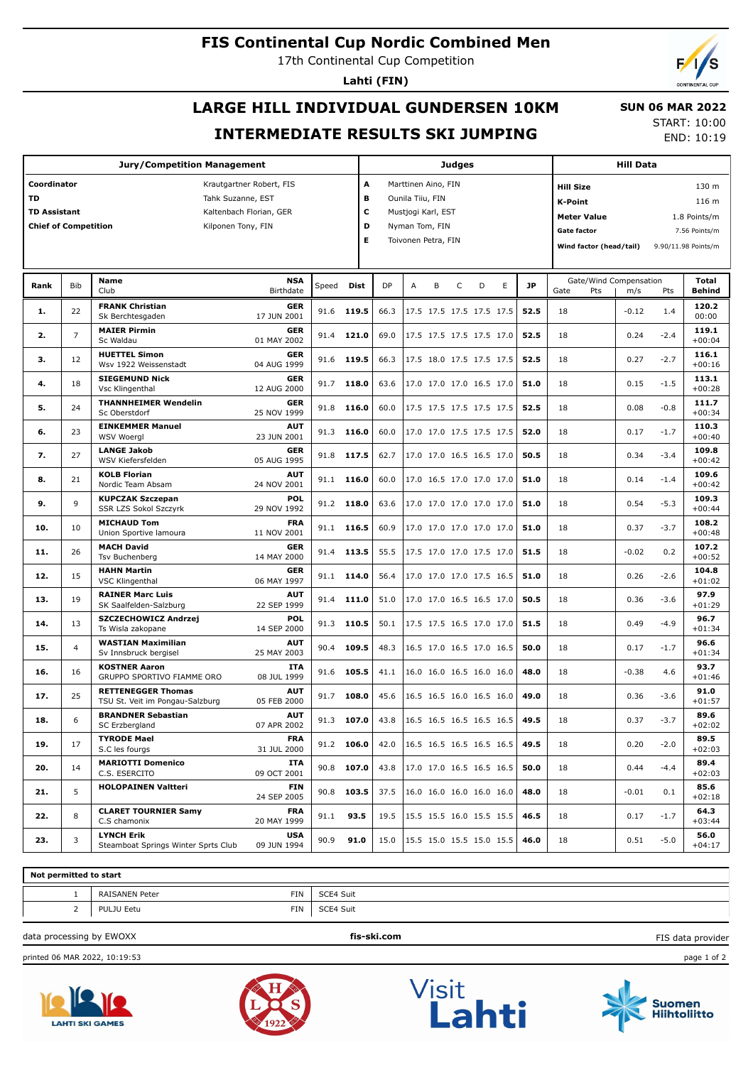### **FIS Continental Cup Nordic Combined Men**

17th Continental Cup Competition

**Lahti (FIN)**

# **LARGE HILL INDIVIDUAL GUNDERSEN 10KM INTERMEDIATE RESULTS SKI JUMPING**

START: 10:00 END: 10:19

 **SUN 06 MAR 2022**

|                                                                         |                | <b>Jury/Competition Management</b>                           |                                                                                                |       |                       |           |                                                                                                        |   | <b>Judges</b> |   |   |           |                                                          |                                               | <b>Hill Data</b>              |                                                                        |                               |  |  |  |
|-------------------------------------------------------------------------|----------------|--------------------------------------------------------------|------------------------------------------------------------------------------------------------|-------|-----------------------|-----------|--------------------------------------------------------------------------------------------------------|---|---------------|---|---|-----------|----------------------------------------------------------|-----------------------------------------------|-------------------------------|------------------------------------------------------------------------|-------------------------------|--|--|--|
| Coordinator<br>TD<br><b>TD Assistant</b><br><b>Chief of Competition</b> |                |                                                              | Krautgartner Robert, FIS<br>Tahk Suzanne, EST<br>Kaltenbach Florian, GER<br>Kilponen Tony, FIN |       | A<br>в<br>c<br>D<br>Е |           | Marttinen Aino, FIN<br>Ounila Tiiu, FIN<br>Mustjogi Karl, EST<br>Nyman Tom, FIN<br>Toivonen Petra, FIN |   |               |   |   |           | <b>Hill Size</b><br><b>K-Point</b><br><b>Gate factor</b> | <b>Meter Value</b><br>Wind factor (head/tail) |                               | 130 m<br>116 m<br>1.8 Points/m<br>7.56 Points/m<br>9.90/11.98 Points/m |                               |  |  |  |
|                                                                         |                |                                                              |                                                                                                |       |                       |           |                                                                                                        |   |               |   |   |           |                                                          |                                               |                               |                                                                        |                               |  |  |  |
| Rank                                                                    | Bib            | <b>Name</b><br>Club                                          | <b>NSA</b><br>Birthdate                                                                        | Speed | Dist                  | <b>DP</b> | А                                                                                                      | В | $\mathsf C$   | D | E | <b>JP</b> | Gate                                                     | Pts                                           | Gate/Wind Compensation<br>m/s | Pts                                                                    | <b>Total</b><br><b>Behind</b> |  |  |  |
| 1.                                                                      | 22             | <b>FRANK Christian</b><br>Sk Berchtesgaden                   | <b>GER</b><br>17 JUN 2001                                                                      | 91.6  | 119.5                 | 66.3      | 17.5 17.5 17.5 17.5 17.5                                                                               |   |               |   |   | 52.5      | 18                                                       |                                               | $-0.12$                       | 1.4                                                                    | 120.2<br>00:00                |  |  |  |
| 2.                                                                      | $\overline{7}$ | <b>MAIER Pirmin</b><br>Sc Waldau                             | <b>GER</b><br>01 MAY 2002                                                                      | 91.4  | 121.0                 | 69.0      | 17.5 17.5 17.5 17.5 17.0                                                                               |   |               |   |   | 52.5      | 18                                                       |                                               | 0.24                          | $-2.4$                                                                 | 119.1<br>$+00:04$             |  |  |  |
| з.                                                                      | 12             | <b>HUETTEL Simon</b><br>Wsv 1922 Weissenstadt                | <b>GER</b><br>04 AUG 1999                                                                      | 91.6  | 119.5                 | 66.3      | 17.5 18.0 17.5 17.5 17.5                                                                               |   |               |   |   | 52.5      | 18                                                       |                                               | 0.27                          | $-2.7$                                                                 | 116.1<br>$+00:16$             |  |  |  |
| 4.                                                                      | 18             | <b>SIEGEMUND Nick</b><br>Vsc Klingenthal                     | <b>GER</b><br>12 AUG 2000                                                                      |       | 91.7 118.0            | 63.6      | 17.0 17.0 17.0 16.5 17.0                                                                               |   |               |   |   | 51.0      | 18                                                       |                                               | 0.15                          | $-1.5$                                                                 | 113.1<br>$+00:28$             |  |  |  |
| 5.                                                                      | 24             | <b>THANNHEIMER Wendelin</b><br>Sc Oberstdorf                 | <b>GER</b><br>25 NOV 1999                                                                      | 91.8  | 116.0                 | 60.0      | 17.5 17.5 17.5 17.5 17.5                                                                               |   |               |   |   | 52.5      | 18                                                       |                                               | 0.08                          | $-0.8$                                                                 | 111.7<br>$+00:34$             |  |  |  |
| 6.                                                                      | 23             | <b>EINKEMMER Manuel</b><br><b>WSV Woergl</b>                 | <b>AUT</b><br>23 JUN 2001                                                                      | 91.3  | 116.0                 | 60.0      | 17.0 17.0 17.5 17.5 17.5                                                                               |   |               |   |   | 52.0      | 18                                                       |                                               | 0.17                          | $-1.7$                                                                 | 110.3<br>$+00:40$             |  |  |  |
| 7.                                                                      | 27             | <b>LANGE Jakob</b><br>WSV Kiefersfelden                      | <b>GER</b><br>05 AUG 1995                                                                      | 91.8  | 117.5                 | 62.7      | 17.0 17.0 16.5 16.5 17.0                                                                               |   |               |   |   | 50.5      | 18                                                       |                                               | 0.34                          | $-3.4$                                                                 | 109.8<br>$+00:42$             |  |  |  |
| 8.                                                                      | 21             | <b>KOLB Florian</b><br>Nordic Team Absam                     | <b>AUT</b><br>24 NOV 2001                                                                      | 91.1  | 116.0                 | 60.0      | 17.0 16.5 17.0 17.0 17.0                                                                               |   |               |   |   | 51.0      | 18                                                       |                                               | 0.14                          | $-1.4$                                                                 | 109.6<br>$+00:42$             |  |  |  |
| 9.                                                                      | 9              | <b>KUPCZAK Szczepan</b><br>SSR LZS Sokol Szczyrk             | POL<br>29 NOV 1992                                                                             | 91.2  | 118.0                 | 63.6      | 17.0 17.0 17.0 17.0 17.0                                                                               |   |               |   |   | 51.0      | 18                                                       |                                               | 0.54                          | $-5.3$                                                                 | 109.3<br>$+00:44$             |  |  |  |
| 10.                                                                     | 10             | <b>MICHAUD Tom</b><br>Union Sportive lamoura                 | <b>FRA</b><br>11 NOV 2001                                                                      | 91.1  | 116.5                 | 60.9      | 17.0 17.0 17.0 17.0 17.0                                                                               |   |               |   |   | 51.0      | 18                                                       |                                               | 0.37                          | $-3.7$                                                                 | 108.2<br>$+00:48$             |  |  |  |
| 11.                                                                     | 26             | <b>MACH David</b><br><b>Tsv Buchenberg</b>                   | <b>GER</b><br>14 MAY 2000                                                                      | 91.4  | 113.5                 | 55.5      | 17.5 17.0 17.0 17.5 17.0                                                                               |   |               |   |   | 51.5      | 18                                                       |                                               | $-0.02$                       | 0.2                                                                    | 107.2<br>$+00:52$             |  |  |  |
| 12.                                                                     | 15             | <b>HAHN Martin</b><br><b>VSC Klingenthal</b>                 | <b>GER</b><br>06 MAY 1997                                                                      | 91.1  | 114.0                 | 56.4      | 17.0 17.0 17.0 17.5 16.5                                                                               |   |               |   |   | 51.0      | 18                                                       |                                               | 0.26                          | $-2.6$                                                                 | 104.8<br>$+01:02$             |  |  |  |
| 13.                                                                     | 19             | <b>RAINER Marc Luis</b><br>SK Saalfelden-Salzburg            | <b>AUT</b><br>22 SEP 1999                                                                      | 91.4  | 111.0                 | 51.0      | 17.0 17.0 16.5 16.5 17.0                                                                               |   |               |   |   | 50.5      | 18                                                       |                                               | 0.36                          | $-3.6$                                                                 | 97.9<br>$+01:29$              |  |  |  |
| 14.                                                                     | 13             | SZCZECHOWICZ Andrzej<br>Ts Wisla zakopane                    | POL<br>14 SEP 2000                                                                             | 91.3  | 110.5                 | 50.1      | 17.5 17.5 16.5 17.0 17.0                                                                               |   |               |   |   | 51.5      | 18                                                       |                                               | 0.49                          | $-4.9$                                                                 | 96.7<br>$+01:34$              |  |  |  |
| 15.                                                                     | $\overline{4}$ | <b>WASTIAN Maximilian</b><br>Sv Innsbruck bergisel           | <b>AUT</b><br>25 MAY 2003                                                                      | 90.4  | 109.5                 | 48.3      | 16.5 17.0 16.5 17.0 16.5                                                                               |   |               |   |   | 50.0      | 18                                                       |                                               | 0.17                          | $-1.7$                                                                 | 96.6<br>$+01:34$              |  |  |  |
| 16.                                                                     | 16             | <b>KOSTNER Aaron</b><br>GRUPPO SPORTIVO FIAMME ORO           | <b>ITA</b><br>08 JUL 1999                                                                      | 91.6  | 105.5                 | 41.1      | 16.0 16.0 16.5 16.0 16.0                                                                               |   |               |   |   | 48.0      | 18                                                       |                                               | $-0.38$                       | 4.6                                                                    | 93.7<br>$+01:46$              |  |  |  |
| 17.                                                                     | 25             | <b>RETTENEGGER Thomas</b><br>TSU St. Veit im Pongau-Salzburg | <b>AUT</b><br>05 FEB 2000                                                                      | 91.7  | 108.0                 | 45.6      | 16.5 16.5 16.0 16.5 16.0                                                                               |   |               |   |   | 49.0      | 18                                                       |                                               | 0.36                          | $-3.6$                                                                 | 91.0<br>$+01:57$              |  |  |  |
| 18.                                                                     | 6              | <b>BRANDNER Sebastian</b><br><b>SC Erzbergland</b>           | <b>AUT</b><br>07 APR 2002                                                                      | 91.3  | 107.0                 | 43.8      | 16.5 16.5 16.5 16.5 16.5                                                                               |   |               |   |   | 49.5      | 18                                                       |                                               | 0.37                          | $-3.7$                                                                 | 89.6<br>$+02:02$              |  |  |  |
| 19.                                                                     | 17             | <b>TYRODE Mael</b><br>S.C les fourgs                         | <b>FRA</b><br>31 JUL 2000                                                                      | 91.2  | 106.0                 | 42.0      | 16.5 16.5 16.5 16.5 16.5                                                                               |   |               |   |   | 49.5      | 18                                                       |                                               | 0.20                          | $-2.0$                                                                 | 89.5<br>$+02:03$              |  |  |  |
| 20.                                                                     | 14             | <b>MARIOTTI Domenico</b><br>C.S. ESERCITO                    | <b>TTA</b><br>09 OCT 2001                                                                      | 90.8  | 107.0                 | 43.8      | 17.0 17.0 16.5 16.5 16.5                                                                               |   |               |   |   | 50.0      | 18                                                       |                                               | 0.44                          | $-4.4$                                                                 | 89.4<br>$+02:03$              |  |  |  |

**21.** 5 **HOLOPAINEN Valtteri FIN 103.5 103.5 103.5 24 SEP 2005 24 SEP 2005 24 SEP 2005 25.6 26.0 24 SEP 2005 24 SEP 2005 24 SEP 2005 26.0 26.0 26.0 26.0 26.0 26.0 26.0 26.0 26.0**

22. 8 **CLARET TOURNIER Samy FRA** 91.1 **93.5** 19.5 15.5 15.5 16.0 15.5 15.5 16.5 18 0.17 -1.7 64.3

**1994 128.** 13 | **LYNCH Erik Club USA** | 90.9 **91.0** | 15.0 | 15.5 15.0 15.5 15.0 15.5 | **46.0** | 18 | 0.51 -5.0 | 56.0<br>
109 JUN 1994 | 90.9 **91.0** | 15.0 | 15.5 15.0 15.5 15.0 15.5 | **46.0** | 18 | 0.51 -5.0 | 104:17



1 | RAISANEN Peter FIN | SCE4 Suit 2 PULJU Eetu FIN SCE4 Suit

**HOLOPAINEN Valtteri FIN**



**Not permitted to start**

C.S. ESERCITO

C.S chamonix

**LYNCH Erik**

**CLARET TOURNIER Samy**



09 OCT 2001

**FRA**<br>20 MAY 1999

**USA**<br>1994 NUR







FIS data provider